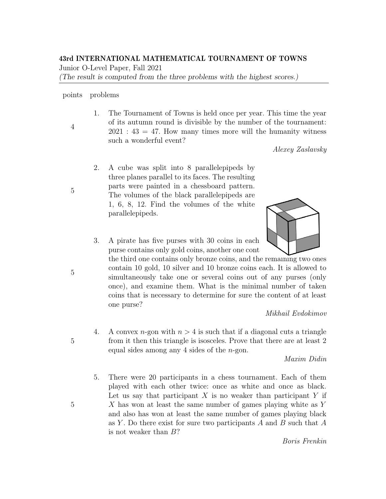# 43rd INTERNATIONAL MATHEMATICAL TOURNAMENT OF TOWNS

Junior O-Level Paper, Fall 2021

(The result is computed from the three problems with the highest scores.)

#### points problems

4

5

1. The Tournament of Towns is held once per year. This time the year of its autumn round is divisible by the number of the tournament:  $2021 : 43 = 47$ . How many times more will the humanity witness such a wonderful event?

Alexey Zaslavsky

2. A cube was split into 8 parallelepipeds by three planes parallel to its faces. The resulting parts were painted in a chessboard pattern. The volumes of the black parallelepipeds are 1, 6, 8, 12. Find the volumes of the white parallelepipeds.



- 3. A pirate has five purses with 30 coins in each. purse contains only gold coins, another one cont
	- the third one contains only bronze coins, and the remaining two ones contain 10 gold, 10 silver and 10 bronze coins each. It is allowed to simultaneously take one or several coins out of any purses (only once), and examine them. What is the minimal number of taken coins that is necessary to determine for sure the content of at least one purse?

Mikhail Evdokimov

4. A convex *n*-gon with  $n > 4$  is such that if a diagonal cuts a triangle from it then this triangle is isosceles. Prove that there are at least 2 equal sides among any 4 sides of the  $n$ -gon.

Maxim Didin

5. There were 20 participants in a chess tournament. Each of them played with each other twice: once as white and once as black. Let us say that participant  $X$  is no weaker than participant  $Y$  if X has won at least the same number of games playing white as Y and also has won at least the same number of games playing black as Y. Do there exist for sure two participants  $A$  and  $B$  such that  $A$ is not weaker than B?

Boris Frenkin

5

5

5